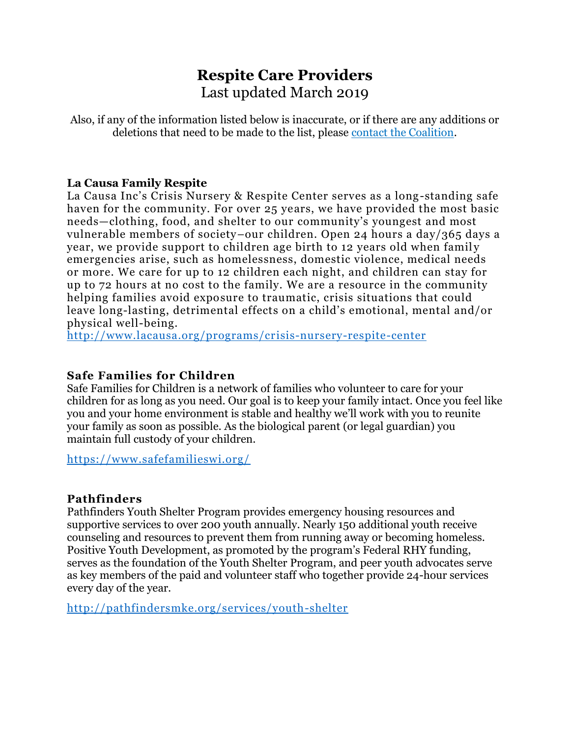# **Respite Care Providers** Last updated March 2019

Also, if any of the information listed below is inaccurate, or if there are any additions or deletions that need to be made to the list, please [contact the Coalition.](mailto:info@coalitionforcyf.org?subject=Respite%20Care%20Providers%20List)

#### **La Causa Family Respite**

La Causa Inc's Crisis Nursery & Respite Center serves as a long-standing safe haven for the community. For over 25 years, we have provided the most basic needs—clothing, food, and shelter to our community's youngest and most vulnerable members of society–our children. Open 24 hours a day/365 days a year, we provide support to children age birth to 12 years old when family emergencies arise, such as homelessness, domestic violence, medical needs or more. We care for up to 12 children each night, and children can stay for up to 72 hours at no cost to the family. We are a resource in the community helping families avoid exposure to traumatic, crisis situations that could leave long-lasting, detrimental effects on a child's emotional, mental and/or physical well-being.

<http://www.lacausa.org/programs/crisis-nursery-respite-center>

## **Safe Families for Children**

Safe Families for Children is a network of families who volunteer to care for your children for as long as you need. Our goal is to keep your family intact. Once you feel like you and your home environment is stable and healthy we'll work with you to reunite your family as soon as possible. As the biological parent (or legal guardian) you maintain full custody of your children.

<https://www.safefamilieswi.org/>

## **Pathfinders**

Pathfinders Youth Shelter Program provides emergency housing resources and supportive services to over 200 youth annually. Nearly 150 additional youth receive counseling and resources to prevent them from running away or becoming homeless. Positive Youth Development, as promoted by the program's Federal RHY funding, serves as the foundation of the Youth Shelter Program, and peer youth advocates serve as key members of the paid and volunteer staff who together provide 24-hour services every day of the year.

<http://pathfindersmke.org/services/youth-shelter>